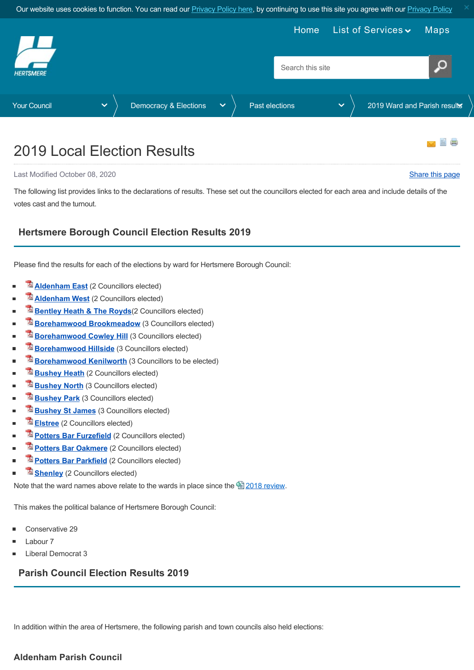<span id="page-0-0"></span>

# 2019 Local Election Results

Last Modified October 08, 2020 [Share this page](http://www.addthis.com/bookmark.php?v=250&pubid=xa-502e5fd570edcb1e) of the state of the state of the state of the state of the state of the state of the state of the state of the state of the state of the state of the state of the state of the

The following list provides links to the declarations of results. These set out the councillors elected for each area and include details of the votes cast and the turnout.

## **Hertsmere Borough Council Election Results 2019**

Please find the results for each of the elections by ward for Hertsmere Borough Council:

- **[Aldenham East](https://www.hertsmere.gov.uk/Documents/11-Your-Council/Democracy-Elections/2019-elections/Results/2019-Declaration-of-Result-Aldenham-East.pdf)** (2 Councillors elected)
- **[Aldenham West](https://www.hertsmere.gov.uk/Documents/11-Your-Council/Democracy-Elections/2019-elections/Results/2019-Declaration-of-Result-Aldenham-West.pdf)** (2 Councillors elected)
- **[Bentley Heath & The Royds](https://www.hertsmere.gov.uk/Documents/11-Your-Council/Democracy-Elections/2019-elections/Results/2019-Declaration-of-Result-Bentley-Heath-and-The-Royds.pdf)** (2 Councillors elected)
- **[Borehamwood Brookmeadow](https://www.hertsmere.gov.uk/Documents/11-Your-Council/Democracy-Elections/2019-elections/Results/2019-Declaration-of-Result-Borehamwood-Brookmeadow.pdf)** (3 Councillors elected)
- **[Borehamwood Cowley Hill](https://www.hertsmere.gov.uk/Documents/11-Your-Council/Democracy-Elections/2019-elections/Results/2019-Declaration-of-Result-Borehamwood-Cowley-Hill.pdf)** (3 Councillors elected) i.
- **[Borehamwood Hillside](https://www.hertsmere.gov.uk/Documents/11-Your-Council/Democracy-Elections/2019-elections/Results/2019-Declaration-of-Result-Borehamwood-Hillside.pdf)** (3 Councillors elected)
- **[Borehamwood Kenilworth](https://www.hertsmere.gov.uk/Documents/11-Your-Council/Democracy-Elections/2019-elections/Results/2019-Declaration-of-Result-Borehamwood-Kenilworth-Ward.pdf)** (3 Councillors to be elected)  $\blacksquare$
- **[Bushey Heath](https://www.hertsmere.gov.uk/Documents/11-Your-Council/Democracy-Elections/2019-elections/Results/2019-Declaration-of-Result-Bushey-Heath.pdf)** (2 Councillors elected) ŕ
- **[Bushey North](https://www.hertsmere.gov.uk/Documents/11-Your-Council/Democracy-Elections/2019-elections/Results/2019-Declaration-of-Result-Bushey-North.pdf)** (3 Councillors elected)
- **[Bushey Park](https://www.hertsmere.gov.uk/Documents/11-Your-Council/Democracy-Elections/2019-elections/Results/2019-Declaration-of-Result-Bushey-Park.pdf)** (3 Councillors elected) ċ
- **[Bushey St James](https://www.hertsmere.gov.uk/Documents/11-Your-Council/Democracy-Elections/2019-elections/Results/2019-Declaration-of-Result-Bushey-St-James.pdf)** (3 Councillors elected) r.
- **[Elstree](https://www.hertsmere.gov.uk/Documents/11-Your-Council/Democracy-Elections/2019-elections/Results/2019-Declaration-of-Result-Elstree.pdf)** (2 Councillors elected) i.
- **[Potters Bar Furzefield](https://www.hertsmere.gov.uk/Documents/11-Your-Council/Democracy-Elections/2019-elections/Results/2019-Declaration-of-Result-Potters-Bar-Furzefield.pdf)** (2 Councillors elected)
- **[Potters Bar Oakmere](https://www.hertsmere.gov.uk/Documents/11-Your-Council/Democracy-Elections/2019-elections/Results/2019-Declaration-of-Result-Potters-Bar-Oakmere.pdf)** (2 Councillors elected)
- **[Potters Bar Parkfield](https://www.hertsmere.gov.uk/Documents/11-Your-Council/Democracy-Elections/2019-elections/Results/2019-Declaration-of-Result-Potters-Bar-Parkfield.pdf)** (2 Councillors elected)
- **[Shenley](https://www.hertsmere.gov.uk/Documents/11-Your-Council/Democracy-Elections/2019-elections/Results/2019-Declaration-of-Result-Shenley.pdf)** (2 Councillors elected)

Note that the ward names above relate to the wards in place since the <sup>2</sup> [2018 review.](https://www.hertsmere.gov.uk/Your-Council/Democracy-Elections/About-elections/Review-of-Polling-Districts-and-Polling-Places-2018.aspx)

This makes the political balance of Hertsmere Borough Council:

- Conservative 29
- Labour 7
- Liberal Democrat 3

## **Parish Council Election Results 2019**

In addition within the area of Hertsmere, the following parish and town councils also held elections:

#### **Aldenham Parish Council**